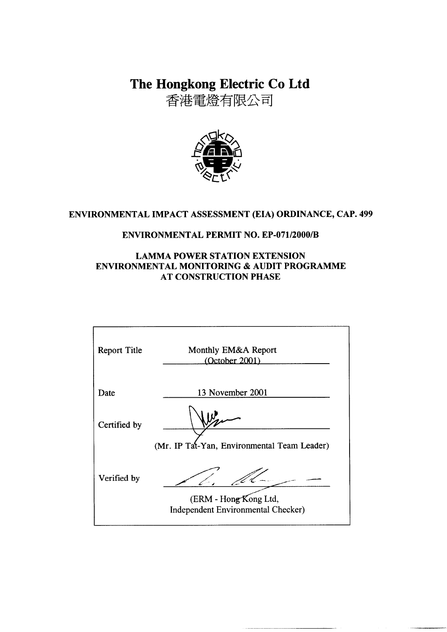The Hongkong Electric Co Ltd

香港電燈有限公司



## ENVIRONMENTAL IMPACT ASSESSMENT (EIA) ORDINANCE, CAP. 499

### **ENVIRONMENTAL PERMIT NO. EP-071/2000/B**

### **LAMMA POWER STATION EXTENSION** ENVIRONMENTAL MONITORING & AUDIT PROGRAMME **AT CONSTRUCTION PHASE**

| Monthly EM&A Report<br>(October 2001)                              |  |  |
|--------------------------------------------------------------------|--|--|
| 13 November 2001                                                   |  |  |
| (Mr. IP Tat-Yan, Environmental Team Leader)                        |  |  |
| (ERM - Hong Kong Ltd,<br><b>Independent Environmental Checker)</b> |  |  |
|                                                                    |  |  |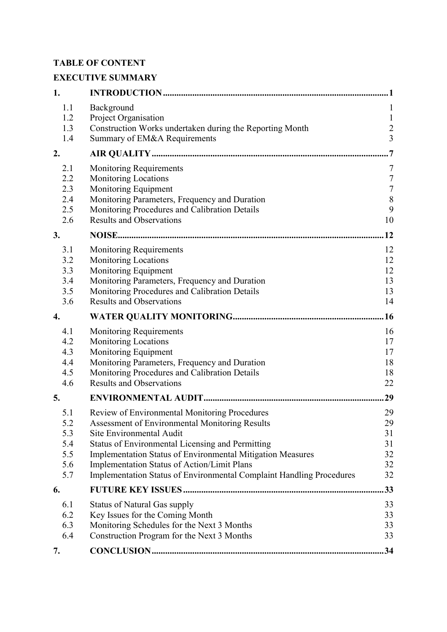# **TABLE OF CONTENT**

# **EXECUTIVE SUMMARY**

| 1.                                            |                                                                                                                                                                                                                                                                                                                                                                                           | . 1                                                         |
|-----------------------------------------------|-------------------------------------------------------------------------------------------------------------------------------------------------------------------------------------------------------------------------------------------------------------------------------------------------------------------------------------------------------------------------------------------|-------------------------------------------------------------|
| 1.1<br>1.2<br>1.3                             | Background<br>Project Organisation<br>Construction Works undertaken during the Reporting Month                                                                                                                                                                                                                                                                                            | $\mathbf{1}$<br>$\mathbf{1}$<br>$\frac{2}{3}$               |
| 1.4                                           | Summary of EM&A Requirements                                                                                                                                                                                                                                                                                                                                                              |                                                             |
| 2.                                            |                                                                                                                                                                                                                                                                                                                                                                                           | $\overline{7}$                                              |
| 2.1<br>2.2<br>2.3<br>2.4<br>2.5<br>2.6        | <b>Monitoring Requirements</b><br><b>Monitoring Locations</b><br>Monitoring Equipment<br>Monitoring Parameters, Frequency and Duration<br>Monitoring Procedures and Calibration Details<br><b>Results and Observations</b>                                                                                                                                                                | 7<br>$\boldsymbol{7}$<br>$\sqrt{ }$<br>$\,$ $\,$<br>9<br>10 |
| 3.                                            |                                                                                                                                                                                                                                                                                                                                                                                           | 12                                                          |
| 3.1<br>3.2<br>3.3<br>3.4<br>3.5<br>3.6        | <b>Monitoring Requirements</b><br>Monitoring Locations<br>Monitoring Equipment<br>Monitoring Parameters, Frequency and Duration<br>Monitoring Procedures and Calibration Details<br><b>Results and Observations</b>                                                                                                                                                                       | 12<br>12<br>12<br>13<br>13<br>14                            |
| 4.                                            |                                                                                                                                                                                                                                                                                                                                                                                           | .16                                                         |
| 4.1<br>4.2<br>4.3<br>4.4<br>4.5<br>4.6        | <b>Monitoring Requirements</b><br><b>Monitoring Locations</b><br>Monitoring Equipment<br>Monitoring Parameters, Frequency and Duration<br>Monitoring Procedures and Calibration Details<br><b>Results and Observations</b>                                                                                                                                                                | 16<br>17<br>17<br>18<br>18<br>22                            |
| 5.                                            |                                                                                                                                                                                                                                                                                                                                                                                           | 29                                                          |
| 5.1<br>5.2<br>5.3<br>5.4<br>5.5<br>5.6<br>5.7 | Review of Environmental Monitoring Procedures<br><b>Assessment of Environmental Monitoring Results</b><br>Site Environmental Audit<br>Status of Environmental Licensing and Permitting<br><b>Implementation Status of Environmental Mitigation Measures</b><br>Implementation Status of Action/Limit Plans<br><b>Implementation Status of Environmental Complaint Handling Procedures</b> | 29<br>29<br>31<br>31<br>32<br>32<br>32                      |
| 6.                                            |                                                                                                                                                                                                                                                                                                                                                                                           | 33                                                          |
| 6.1<br>6.2<br>6.3<br>6.4                      | <b>Status of Natural Gas supply</b><br>Key Issues for the Coming Month<br>Monitoring Schedules for the Next 3 Months<br>Construction Program for the Next 3 Months                                                                                                                                                                                                                        | 33<br>33<br>33<br>33                                        |
| 7.                                            |                                                                                                                                                                                                                                                                                                                                                                                           | .34                                                         |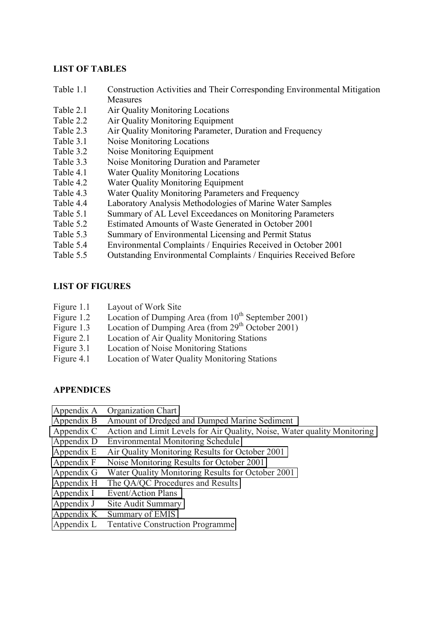#### **LIST OF TABLES**

- Table 1.1 Construction Activities and Their Corresponding Environmental Mitigation Measures
- Table 2.1 Air Quality Monitoring Locations
- Table 2.2 Air Quality Monitoring Equipment
- Table 2.3 Air Quality Monitoring Parameter, Duration and Frequency
- Table 3.1 Noise Monitoring Locations
- Table 3.2 Noise Monitoring Equipment
- Table 3.3 Noise Monitoring Duration and Parameter
- Table 4.1 Water Quality Monitoring Locations
- Table 4.2 Water Quality Monitoring Equipment
- Table 4.3 Water Quality Monitoring Parameters and Frequency
- Table 4.4 Laboratory Analysis Methodologies of Marine Water Samples
- Table 5.1 Summary of AL Level Exceedances on Monitoring Parameters
- Table 5.2 Estimated Amounts of Waste Generated in October 2001
- Table 5.3 Summary of Environmental Licensing and Permit Status
- Table 5.4 Environmental Complaints / Enquiries Received in October 2001
- Table 5.5 Outstanding Environmental Complaints / Enquiries Received Before

### **LIST OF FIGURES**

- Figure 1.1 Layout of Work Site
- Figure 1.2 Location of Dumping Area (from  $10^{th}$  September 2001)
- Figure 1.3 Location of Dumping Area (from  $29<sup>th</sup>$  October 2001)
- Figure 2.1 Location of Air Quality Monitoring Stations
- Figure 3.1 Location of Noise Monitoring Stations
- Figure 4.1 Location of Water Quality Monitoring Stations

### **APPENDICES**

- Appendix A Organization Chart
- Appendix B Amount of Dredged and Dumped Marine Sediment
- Appendix C Action and Limit Levels for Air Quality, Noise, Water quality Monitoring
- Appendix D Environmental Monitoring Schedule
- Appendix E Air Quality Monitoring Results for October 2001
- Appendix F Noise Monitoring Results for October 2001
- Appendix G Water Quality Monitoring Results for October 2001
- Appendix H The QA/QC Procedures and Results
- Appendix I Event/Action Plans
- Appendix J Site Audit Summary
- Appendix K Summary of EMIS
- Appendix L Tentative Construction Programme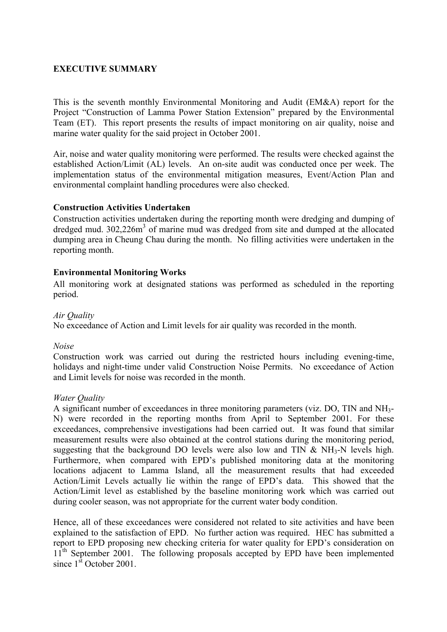### **EXECUTIVE SUMMARY**

This is the seventh monthly Environmental Monitoring and Audit (EM&A) report for the Project "Construction of Lamma Power Station Extension" prepared by the Environmental Team (ET). This report presents the results of impact monitoring on air quality, noise and marine water quality for the said project in October 2001.

Air, noise and water quality monitoring were performed. The results were checked against the established Action/Limit (AL) levels. An on-site audit was conducted once per week. The implementation status of the environmental mitigation measures, Event/Action Plan and environmental complaint handling procedures were also checked.

#### **Construction Activities Undertaken**

Construction activities undertaken during the reporting month were dredging and dumping of dredged mud. 302,226m<sup>3</sup> of marine mud was dredged from site and dumped at the allocated dumping area in Cheung Chau during the month. No filling activities were undertaken in the reporting month.

#### **Environmental Monitoring Works**

All monitoring work at designated stations was performed as scheduled in the reporting period.

#### *Air Quality*

No exceedance of Action and Limit levels for air quality was recorded in the month.

#### *Noise*

Construction work was carried out during the restricted hours including evening-time, holidays and night-time under valid Construction Noise Permits. No exceedance of Action and Limit levels for noise was recorded in the month.

#### *Water Quality*

A significant number of exceedances in three monitoring parameters (viz. DO, TIN and NH3- N) were recorded in the reporting months from April to September 2001. For these exceedances, comprehensive investigations had been carried out. It was found that similar measurement results were also obtained at the control stations during the monitoring period, suggesting that the background DO levels were also low and TIN  $\&$  NH<sub>3</sub>-N levels high. Furthermore, when compared with EPD's published monitoring data at the monitoring locations adjacent to Lamma Island, all the measurement results that had exceeded Action/Limit Levels actually lie within the range of EPD's data. This showed that the Action/Limit level as established by the baseline monitoring work which was carried out during cooler season, was not appropriate for the current water body condition.

Hence, all of these exceedances were considered not related to site activities and have been explained to the satisfaction of EPD. No further action was required. HEC has submitted a report to EPD proposing new checking criteria for water quality for EPD's consideration on 11<sup>th</sup> September 2001. The following proposals accepted by EPD have been implemented since  $1^{\text{st}}$  October 2001.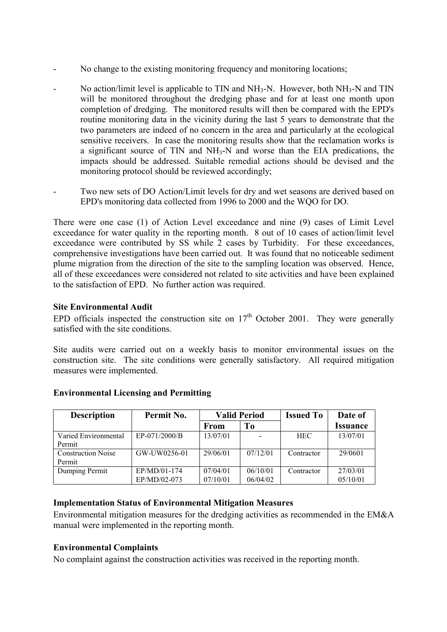- No change to the existing monitoring frequency and monitoring locations;
- No action/limit level is applicable to TIN and  $NH_3-N$ . However, both  $NH_3-N$  and TIN will be monitored throughout the dredging phase and for at least one month upon completion of dredging. The monitored results will then be compared with the EPD's routine monitoring data in the vicinity during the last 5 years to demonstrate that the two parameters are indeed of no concern in the area and particularly at the ecological sensitive receivers. In case the monitoring results show that the reclamation works is a significant source of TIN and NH3-N and worse than the EIA predications, the impacts should be addressed. Suitable remedial actions should be devised and the monitoring protocol should be reviewed accordingly;
- Two new sets of DO Action/Limit levels for dry and wet seasons are derived based on EPD's monitoring data collected from 1996 to 2000 and the WQO for DO.

There were one case (1) of Action Level exceedance and nine (9) cases of Limit Level exceedance for water quality in the reporting month. 8 out of 10 cases of action/limit level exceedance were contributed by SS while 2 cases by Turbidity. For these exceedances, comprehensive investigations have been carried out. It was found that no noticeable sediment plume migration from the direction of the site to the sampling location was observed. Hence, all of these exceedances were considered not related to site activities and have been explained to the satisfaction of EPD. No further action was required.

### **Site Environmental Audit**

EPD officials inspected the construction site on  $17<sup>th</sup>$  October 2001. They were generally satisfied with the site conditions.

Site audits were carried out on a weekly basis to monitor environmental issues on the construction site. The site conditions were generally satisfactory. All required mitigation measures were implemented.

| <b>Description</b>        | Permit No.    | <b>Valid Period</b> |          | <b>Issued To</b> | Date of                |
|---------------------------|---------------|---------------------|----------|------------------|------------------------|
|                           |               | From                | To       |                  | <i><b>Issuance</b></i> |
| Varied Environmental      | EP-071/2000/B | 13/07/01            |          | <b>HEC</b>       | 13/07/01               |
| Permit                    |               |                     |          |                  |                        |
| <b>Construction Noise</b> | GW-UW0256-01  | 29/06/01            | 07/12/01 | Contractor       | 29/0601                |
| Permit                    |               |                     |          |                  |                        |
| Dumping Permit            | EP/MD/01-174  | 07/04/01            | 06/10/01 | Contractor       | 27/03/01               |
|                           | EP/MD/02-073  | 07/10/01            | 06/04/02 |                  | 05/10/01               |

### **Environmental Licensing and Permitting**

### **Implementation Status of Environmental Mitigation Measures**

Environmental mitigation measures for the dredging activities as recommended in the EM&A manual were implemented in the reporting month.

### **Environmental Complaints**

No complaint against the construction activities was received in the reporting month.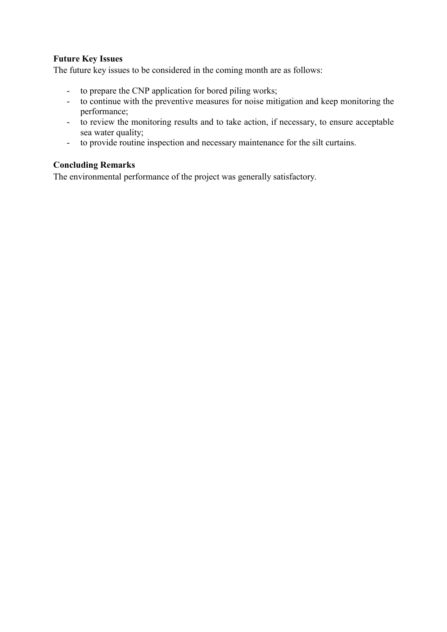### **Future Key Issues**

The future key issues to be considered in the coming month are as follows:

- to prepare the CNP application for bored piling works;
- to continue with the preventive measures for noise mitigation and keep monitoring the performance;
- to review the monitoring results and to take action, if necessary, to ensure acceptable sea water quality;
- to provide routine inspection and necessary maintenance for the silt curtains.

### **Concluding Remarks**

The environmental performance of the project was generally satisfactory.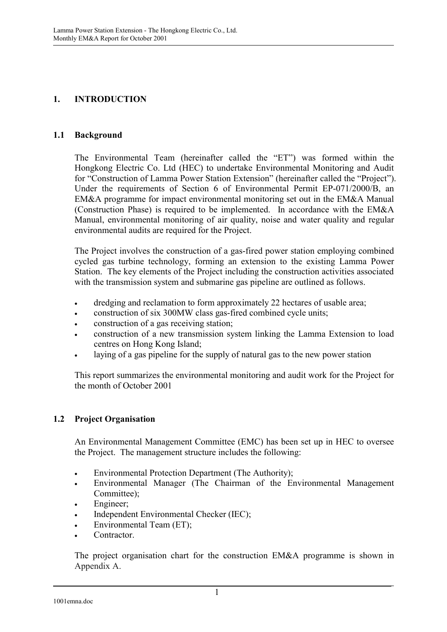## **1. INTRODUCTION**

### **1.1 Background**

The Environmental Team (hereinafter called the "ET") was formed within the Hongkong Electric Co. Ltd (HEC) to undertake Environmental Monitoring and Audit for "Construction of Lamma Power Station Extension" (hereinafter called the "Project"). Under the requirements of Section 6 of Environmental Permit EP-071/2000/B, an EM&A programme for impact environmental monitoring set out in the EM&A Manual (Construction Phase) is required to be implemented. In accordance with the EM&A Manual, environmental monitoring of air quality, noise and water quality and regular environmental audits are required for the Project.

The Project involves the construction of a gas-fired power station employing combined cycled gas turbine technology, forming an extension to the existing Lamma Power Station. The key elements of the Project including the construction activities associated with the transmission system and submarine gas pipeline are outlined as follows.

- dredging and reclamation to form approximately 22 hectares of usable area;
- construction of six 300MW class gas-fired combined cycle units;
- construction of a gas receiving station;
- construction of a new transmission system linking the Lamma Extension to load centres on Hong Kong Island;
- laying of a gas pipeline for the supply of natural gas to the new power station

This report summarizes the environmental monitoring and audit work for the Project for the month of October 2001

### **1.2 Project Organisation**

An Environmental Management Committee (EMC) has been set up in HEC to oversee the Project. The management structure includes the following:

- Environmental Protection Department (The Authority);
- Environmental Manager (The Chairman of the Environmental Management Committee);
- Engineer;
- Independent Environmental Checker (IEC);
- Environmental Team (ET);
- Contractor.

The project organisation chart for the construction EM&A programme is shown in Appendix A.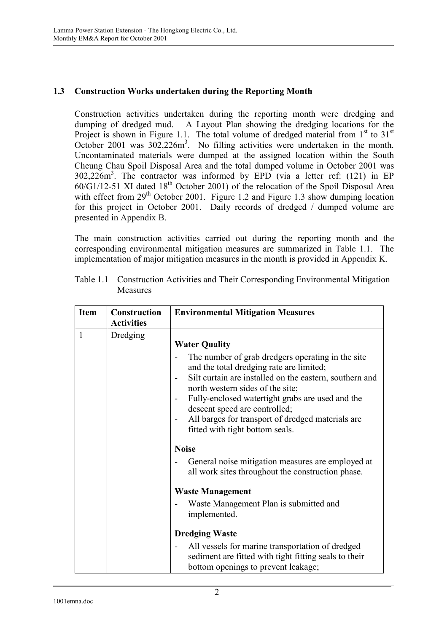### **1.3 Construction Works undertaken during the Reporting Month**

Construction activities undertaken during the reporting month were dredging and dumping of dredged mud. A Layout Plan showing the dredging locations for the Project is shown in Figure 1.1. The total volume of dredged material from  $1<sup>st</sup>$  to  $31<sup>st</sup>$ October 2001 was  $302,226m^3$ . No filling activities were undertaken in the month. Uncontaminated materials were dumped at the assigned location within the South Cheung Chau Spoil Disposal Area and the total dumped volume in October 2001 was 302,226m<sup>3</sup> . The contractor was informed by EPD (via a letter ref: (121) in EP  $60/G1/12-51$  XI dated  $18<sup>th</sup>$  October 2001) of the relocation of the Spoil Disposal Area with effect from  $29<sup>th</sup>$  October 2001. Figure 1.2 and Figure 1.3 show dumping location for this project in October 2001. Daily records of dredged / dumped volume are presented in Appendix B.

The main construction activities carried out during the reporting month and the corresponding environmental mitigation measures are summarized in Table 1.1. The implementation of major mitigation measures in the month is provided in Appendix K.

| <b>Item</b>  | Construction<br><b>Activities</b> | <b>Environmental Mitigation Measures</b>                                                                                                                                                                                                                                                                                                                                                          |
|--------------|-----------------------------------|---------------------------------------------------------------------------------------------------------------------------------------------------------------------------------------------------------------------------------------------------------------------------------------------------------------------------------------------------------------------------------------------------|
| $\mathbf{1}$ | Dredging                          | <b>Water Quality</b><br>The number of grab dredgers operating in the site<br>and the total dredging rate are limited;<br>Silt curtain are installed on the eastern, southern and<br>north western sides of the site;<br>Fully-enclosed watertight grabs are used and the<br>descent speed are controlled;<br>All barges for transport of dredged materials are<br>fitted with tight bottom seals. |
|              |                                   | <b>Noise</b><br>General noise mitigation measures are employed at<br>all work sites throughout the construction phase.<br><b>Waste Management</b><br>Waste Management Plan is submitted and<br>implemented.                                                                                                                                                                                       |
|              |                                   | <b>Dredging Waste</b><br>All vessels for marine transportation of dredged<br>sediment are fitted with tight fitting seals to their<br>bottom openings to prevent leakage;                                                                                                                                                                                                                         |

Table 1.1 Construction Activities and Their Corresponding Environmental Mitigation Measures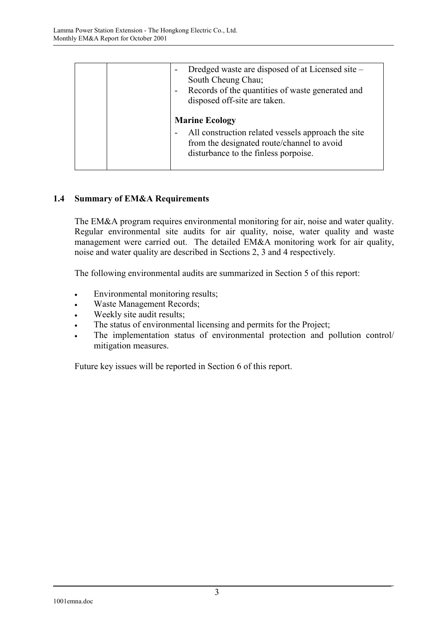|  | Dredged waste are disposed of at Licensed site –<br>South Cheung Chau;<br>Records of the quantities of waste generated and<br>disposed off-site are taken.        |
|--|-------------------------------------------------------------------------------------------------------------------------------------------------------------------|
|  | <b>Marine Ecology</b><br>All construction related vessels approach the site<br>from the designated route/channel to avoid<br>disturbance to the finless porpoise. |

### **1.4 Summary of EM&A Requirements**

The EM&A program requires environmental monitoring for air, noise and water quality. Regular environmental site audits for air quality, noise, water quality and waste management were carried out. The detailed EM&A monitoring work for air quality, noise and water quality are described in Sections 2, 3 and 4 respectively.

The following environmental audits are summarized in Section 5 of this report:

- Environmental monitoring results;
- Waste Management Records;
- Weekly site audit results;
- The status of environmental licensing and permits for the Project;
- The implementation status of environmental protection and pollution control/ mitigation measures.

Future key issues will be reported in Section 6 of this report.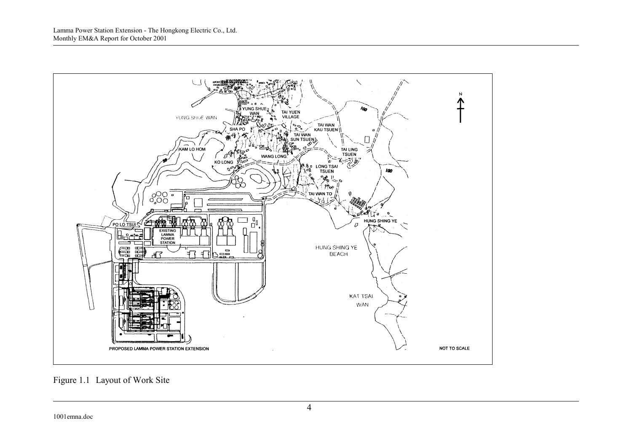

Figure 1.1 Layout of Work Site

1001emna.doc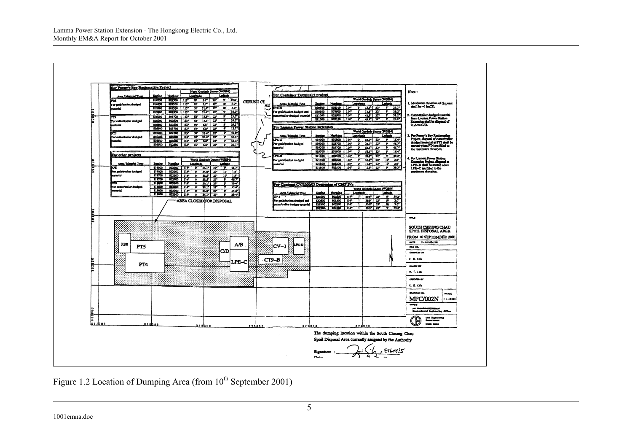

Figure 1.2 Location of Dumping Area (from 10<sup>th</sup> September 2001)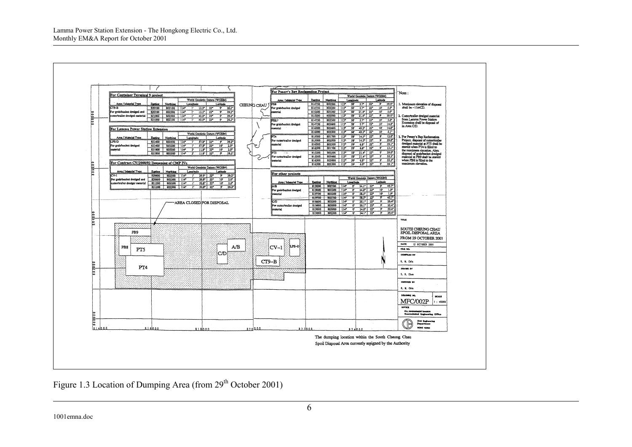

# Figure 1.3 Location of Dumping Area (from 29<sup>th</sup> October 2001)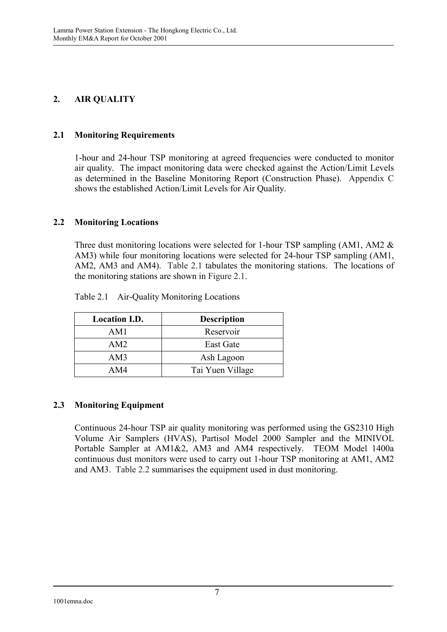## **2. AIR QUALITY**

### **2.1 Monitoring Requirements**

1-hour and 24-hour TSP monitoring at agreed frequencies were conducted to monitor air quality. The impact monitoring data were checked against the Action/Limit Levels as determined in the Baseline Monitoring Report (Construction Phase). Appendix C shows the established Action/Limit Levels for Air Quality.

### **2.2 Monitoring Locations**

Three dust monitoring locations were selected for 1-hour TSP sampling (AM1, AM2 & AM3) while four monitoring locations were selected for 24-hour TSP sampling (AM1, AM2, AM3 and AM4). Table 2.1 tabulates the monitoring stations. The locations of the monitoring stations are shown in Figure 2.1.

| <b>Location I.D.</b> | <b>Description</b> |
|----------------------|--------------------|
| AM1                  | Reservoir          |
| AM2                  | East Gate          |
| AM3                  | Ash Lagoon         |
| AM4                  | Tai Yuen Village   |

| Table 2.1 | Air-Quality Monitoring Locations |  |  |
|-----------|----------------------------------|--|--|
|-----------|----------------------------------|--|--|

### **2.3 Monitoring Equipment**

Continuous 24-hour TSP air quality monitoring was performed using the GS2310 High Volume Air Samplers (HVAS), Partisol Model 2000 Sampler and the MINIVOL Portable Sampler at AM1&2, AM3 and AM4 respectively. TEOM Model 1400a continuous dust monitors were used to carry out 1-hour TSP monitoring at AM1, AM2 and AM3. Table 2.2 summarises the equipment used in dust monitoring.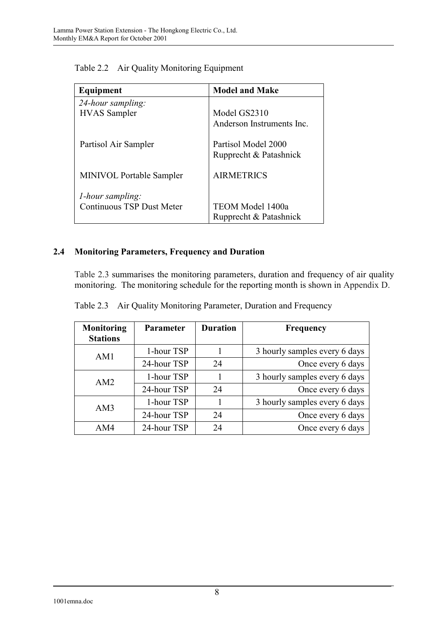| Equipment                        | <b>Model and Make</b>     |
|----------------------------------|---------------------------|
| 24-hour sampling:                |                           |
| <b>HVAS</b> Sampler              | Model GS2310              |
|                                  | Anderson Instruments Inc. |
| Partisol Air Sampler             | Partisol Model 2000       |
|                                  | Rupprecht & Patashnick    |
| <b>MINIVOL Portable Sampler</b>  | <b>AIRMETRICS</b>         |
| <i>l</i> -hour sampling:         |                           |
| <b>Continuous TSP Dust Meter</b> | TEOM Model 1400a          |
|                                  | Rupprecht & Patashnick    |

Table 2.2 Air Quality Monitoring Equipment

# **2.4 Monitoring Parameters, Frequency and Duration**

Table 2.3 summarises the monitoring parameters, duration and frequency of air quality monitoring. The monitoring schedule for the reporting month is shown in Appendix D.

|  |  | Table 2.3 Air Quality Monitoring Parameter, Duration and Frequency |  |  |
|--|--|--------------------------------------------------------------------|--|--|
|--|--|--------------------------------------------------------------------|--|--|

| <b>Monitoring</b><br><b>Stations</b> | <b>Parameter</b> | <b>Duration</b> | <b>Frequency</b>              |
|--------------------------------------|------------------|-----------------|-------------------------------|
| AM1                                  | 1-hour TSP       |                 | 3 hourly samples every 6 days |
|                                      | 24-hour TSP      | 24              | Once every 6 days             |
| AM <sub>2</sub>                      | 1-hour TSP       |                 | 3 hourly samples every 6 days |
|                                      | 24-hour TSP      | 24              | Once every 6 days             |
| AM3                                  | 1-hour TSP       |                 | 3 hourly samples every 6 days |
|                                      | 24-hour TSP      | 24              | Once every 6 days             |
| AM4                                  | 24-hour TSP      | 24              | Once every 6 days             |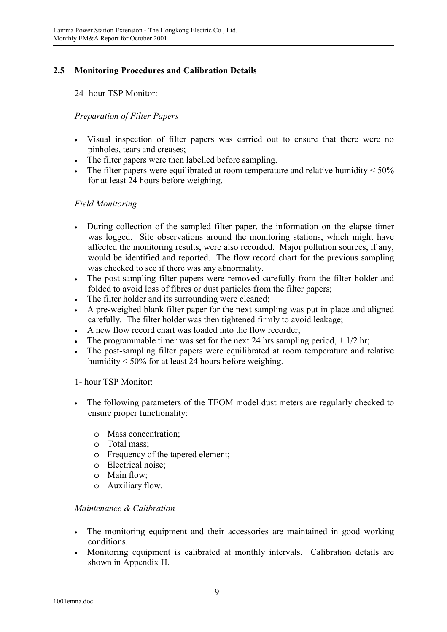# **2.5 Monitoring Procedures and Calibration Details**

24- hour TSP Monitor:

### *Preparation of Filter Papers*

- Visual inspection of filter papers was carried out to ensure that there were no pinholes, tears and creases;
- The filter papers were then labelled before sampling.
- The filter papers were equilibrated at room temperature and relative humidity  $\leq 50\%$ for at least 24 hours before weighing.

### *Field Monitoring*

- During collection of the sampled filter paper, the information on the elapse timer was logged. Site observations around the monitoring stations, which might have affected the monitoring results, were also recorded. Major pollution sources, if any, would be identified and reported. The flow record chart for the previous sampling was checked to see if there was any abnormality.
- The post-sampling filter papers were removed carefully from the filter holder and folded to avoid loss of fibres or dust particles from the filter papers;
- The filter holder and its surrounding were cleaned;
- A pre-weighed blank filter paper for the next sampling was put in place and aligned carefully. The filter holder was then tightened firmly to avoid leakage;
- A new flow record chart was loaded into the flow recorder;
- The programmable timer was set for the next 24 hrs sampling period,  $\pm$  1/2 hr;
- The post-sampling filter papers were equilibrated at room temperature and relative humidity < 50% for at least 24 hours before weighing.

1- hour TSP Monitor:

- The following parameters of the TEOM model dust meters are regularly checked to ensure proper functionality:
	- o Mass concentration;
	- o Total mass;
	- o Frequency of the tapered element;
	- o Electrical noise;
	- o Main flow;
	- o Auxiliary flow.

### *Maintenance & Calibration*

- The monitoring equipment and their accessories are maintained in good working conditions.
- Monitoring equipment is calibrated at monthly intervals. Calibration details are shown in Appendix H.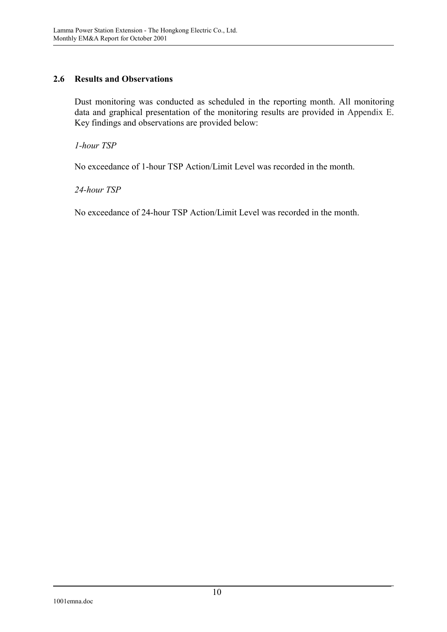### **2.6 Results and Observations**

Dust monitoring was conducted as scheduled in the reporting month. All monitoring data and graphical presentation of the monitoring results are provided in Appendix E. Key findings and observations are provided below:

*1-hour TSP* 

No exceedance of 1-hour TSP Action/Limit Level was recorded in the month.

*24-hour TSP* 

No exceedance of 24-hour TSP Action/Limit Level was recorded in the month.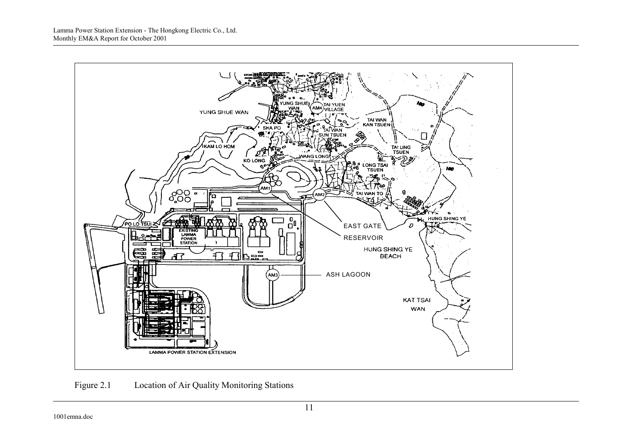

Figure 2.1 Location of Air Quality Monitoring Stations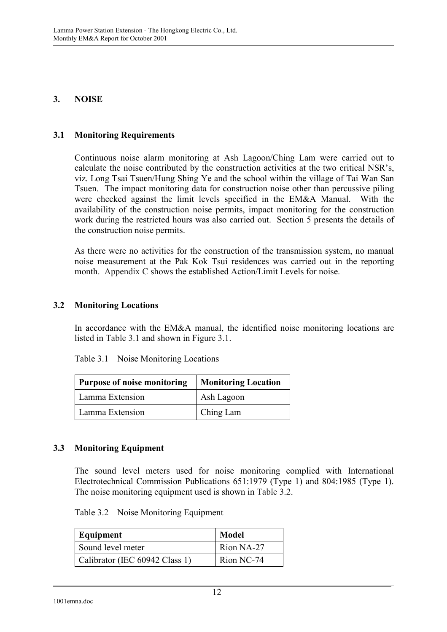### **3. NOISE**

### **3.1 Monitoring Requirements**

Continuous noise alarm monitoring at Ash Lagoon/Ching Lam were carried out to calculate the noise contributed by the construction activities at the two critical NSR's, viz. Long Tsai Tsuen/Hung Shing Ye and the school within the village of Tai Wan San Tsuen. The impact monitoring data for construction noise other than percussive piling were checked against the limit levels specified in the EM&A Manual. With the availability of the construction noise permits, impact monitoring for the construction work during the restricted hours was also carried out. Section 5 presents the details of the construction noise permits.

As there were no activities for the construction of the transmission system, no manual noise measurement at the Pak Kok Tsui residences was carried out in the reporting month. Appendix C shows the established Action/Limit Levels for noise.

#### **3.2 Monitoring Locations**

In accordance with the EM&A manual, the identified noise monitoring locations are listed in Table 3.1 and shown in Figure 3.1.

| Table 3.1 | Noise Monitoring Locations |
|-----------|----------------------------|
|-----------|----------------------------|

| Purpose of noise monitoring | <b>Monitoring Location</b> |  |
|-----------------------------|----------------------------|--|
| Lamma Extension             | Ash Lagoon                 |  |
| Lamma Extension             | Ching Lam                  |  |

### **3.3 Monitoring Equipment**

The sound level meters used for noise monitoring complied with International Electrotechnical Commission Publications 651:1979 (Type 1) and 804:1985 (Type 1). The noise monitoring equipment used is shown in Table 3.2.

Table 3.2 Noise Monitoring Equipment

| Equipment                      | Model      |
|--------------------------------|------------|
| Sound level meter              | Rion NA-27 |
| Calibrator (IEC 60942 Class 1) | Rion NC-74 |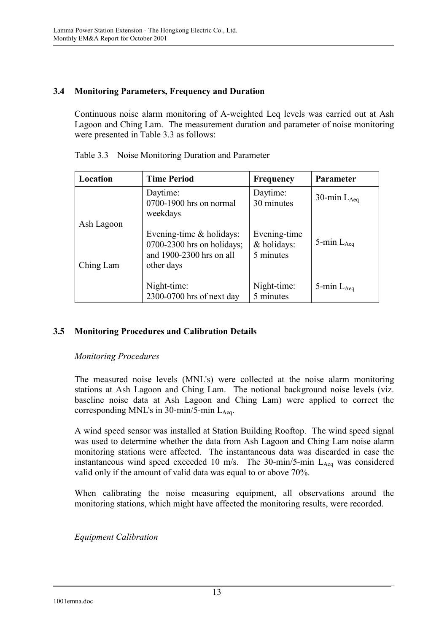### **3.4 Monitoring Parameters, Frequency and Duration**

Continuous noise alarm monitoring of A-weighted Leq levels was carried out at Ash Lagoon and Ching Lam. The measurement duration and parameter of noise monitoring were presented in Table 3.3 as follows:

| Location   | <b>Time Period</b>                                                                     | Frequency                                | Parameter        |
|------------|----------------------------------------------------------------------------------------|------------------------------------------|------------------|
|            | Daytime:<br>0700-1900 hrs on normal<br>weekdays                                        | Daytime:<br>30 minutes                   | 30-min $L_{Aeq}$ |
| Ash Lagoon | Evening-time $&$ holidays:<br>$0700-2300$ hrs on holidays;<br>and 1900-2300 hrs on all | Evening-time<br>& holidays:<br>5 minutes | 5-min $L_{Aeq}$  |
| Ching Lam  | other days<br>Night-time:<br>2300-0700 hrs of next day                                 | Night-time:<br>5 minutes                 | 5-min $L_{Aea}$  |

Table 3.3 Noise Monitoring Duration and Parameter

### **3.5 Monitoring Procedures and Calibration Details**

### *Monitoring Procedures*

The measured noise levels (MNL's) were collected at the noise alarm monitoring stations at Ash Lagoon and Ching Lam. The notional background noise levels (viz. baseline noise data at Ash Lagoon and Ching Lam) were applied to correct the corresponding MNL's in  $30$ -min/5-min L<sub>Aeq</sub>.

A wind speed sensor was installed at Station Building Rooftop. The wind speed signal was used to determine whether the data from Ash Lagoon and Ching Lam noise alarm monitoring stations were affected. The instantaneous data was discarded in case the instantaneous wind speed exceeded 10 m/s. The 30-min/5-min  $L_{Aeq}$  was considered valid only if the amount of valid data was equal to or above 70%.

When calibrating the noise measuring equipment, all observations around the monitoring stations, which might have affected the monitoring results, were recorded.

*Equipment Calibration*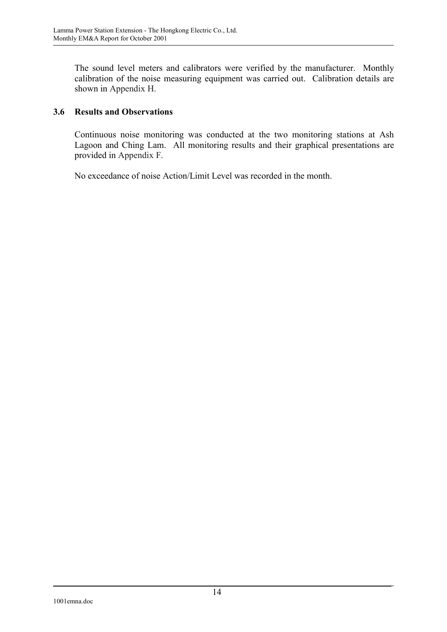The sound level meters and calibrators were verified by the manufacturer. Monthly calibration of the noise measuring equipment was carried out. Calibration details are shown in Appendix H.

### **3.6 Results and Observations**

Continuous noise monitoring was conducted at the two monitoring stations at Ash Lagoon and Ching Lam. All monitoring results and their graphical presentations are provided in Appendix F.

No exceedance of noise Action/Limit Level was recorded in the month.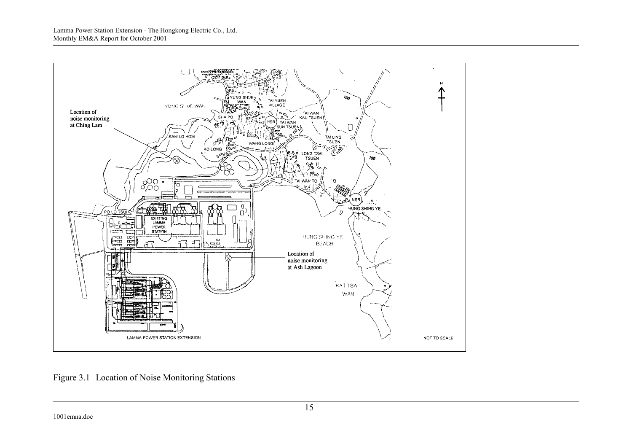

Figure 3.1 Location of Noise Monitoring Stations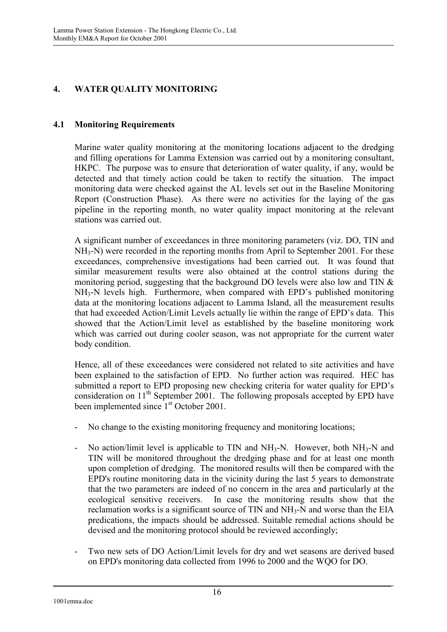# **4. WATER QUALITY MONITORING**

### **4.1 Monitoring Requirements**

Marine water quality monitoring at the monitoring locations adjacent to the dredging and filling operations for Lamma Extension was carried out by a monitoring consultant, HKPC. The purpose was to ensure that deterioration of water quality, if any, would be detected and that timely action could be taken to rectify the situation. The impact monitoring data were checked against the AL levels set out in the Baseline Monitoring Report (Construction Phase). As there were no activities for the laying of the gas pipeline in the reporting month, no water quality impact monitoring at the relevant stations was carried out.

A significant number of exceedances in three monitoring parameters (viz. DO, TIN and NH3-N) were recorded in the reporting months from April to September 2001. For these exceedances, comprehensive investigations had been carried out. It was found that similar measurement results were also obtained at the control stations during the monitoring period, suggesting that the background DO levels were also low and TIN & NH3-N levels high. Furthermore, when compared with EPD's published monitoring data at the monitoring locations adjacent to Lamma Island, all the measurement results that had exceeded Action/Limit Levels actually lie within the range of EPD's data. This showed that the Action/Limit level as established by the baseline monitoring work which was carried out during cooler season, was not appropriate for the current water body condition.

Hence, all of these exceedances were considered not related to site activities and have been explained to the satisfaction of EPD. No further action was required. HEC has submitted a report to EPD proposing new checking criteria for water quality for EPD's consideration on 11<sup>th</sup> September 2001. The following proposals accepted by EPD have been implemented since 1<sup>st</sup> October 2001.

- No change to the existing monitoring frequency and monitoring locations;
- No action/limit level is applicable to TIN and  $NH_3-N$ . However, both  $NH_3-N$  and TIN will be monitored throughout the dredging phase and for at least one month upon completion of dredging. The monitored results will then be compared with the EPD's routine monitoring data in the vicinity during the last 5 years to demonstrate that the two parameters are indeed of no concern in the area and particularly at the ecological sensitive receivers. In case the monitoring results show that the reclamation works is a significant source of TIN and NH3-N and worse than the EIA predications, the impacts should be addressed. Suitable remedial actions should be devised and the monitoring protocol should be reviewed accordingly;
- Two new sets of DO Action/Limit levels for dry and wet seasons are derived based on EPD's monitoring data collected from 1996 to 2000 and the WQO for DO.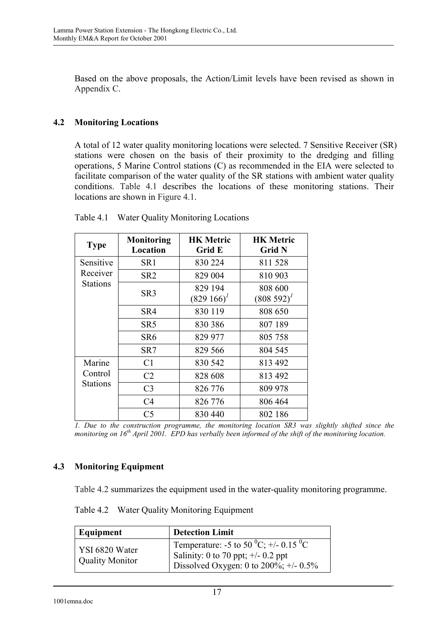Based on the above proposals, the Action/Limit levels have been revised as shown in Appendix C.

### **4.2 Monitoring Locations**

A total of 12 water quality monitoring locations were selected. 7 Sensitive Receiver (SR) stations were chosen on the basis of their proximity to the dredging and filling operations, 5 Marine Control stations (C) as recommended in the EIA were selected to facilitate comparison of the water quality of the SR stations with ambient water quality conditions. Table 4.1 describes the locations of these monitoring stations. Their locations are shown in Figure 4.1.

| <b>Type</b>     | <b>Monitoring</b><br>Location | <b>HK Metric</b><br>Grid E | <b>HK Metric</b><br><b>Grid N</b> |
|-----------------|-------------------------------|----------------------------|-----------------------------------|
| Sensitive       | SR <sub>1</sub>               | 830 224                    | 811528                            |
| Receiver        | SR <sub>2</sub>               | 829 004                    | 810 903                           |
| <b>Stations</b> | SR <sub>3</sub>               | 829 194<br>$(829166)^{1}$  | 808 600<br>$(808592)^{1}$         |
|                 | SR4                           | 830 119                    | 808 650                           |
|                 | SR <sub>5</sub>               | 830 386                    | 807 189                           |
|                 | SR <sub>6</sub>               | 829 977                    | 805 758                           |
|                 | SR7                           | 829 566                    | 804 545                           |
| Marine          | C <sub>1</sub>                | 830 542                    | 813 492                           |
| Control         | C <sub>2</sub>                | 828 608                    | 813 492                           |
| <b>Stations</b> | C <sub>3</sub>                | 826 776                    | 809 978                           |
|                 | C4                            | 826 776                    | 806 464                           |
|                 | C <sub>5</sub>                | 830 440                    | 802 186                           |

Table 4.1 Water Quality Monitoring Locations

*1. Due to the construction programme, the monitoring location SR3 was slightly shifted since the monitoring on 16th April 2001. EPD has verbally been informed of the shift of the monitoring location.* 

### **4.3 Monitoring Equipment**

Table 4.2 summarizes the equipment used in the water-quality monitoring programme.

Table 4.2 Water Quality Monitoring Equipment

| Equipment                                | <b>Detection Limit</b>                                                                                                                                             |
|------------------------------------------|--------------------------------------------------------------------------------------------------------------------------------------------------------------------|
| YSI 6820 Water<br><b>Quality Monitor</b> | <sup>1</sup> Temperature: -5 to 50 <sup>0</sup> C; +/- 0.15 <sup>0</sup> C<br>Salinity: 0 to 70 ppt; $\pm$ /- 0.2 ppt<br>Dissolved Oxygen: 0 to $200\%$ ; +/- 0.5% |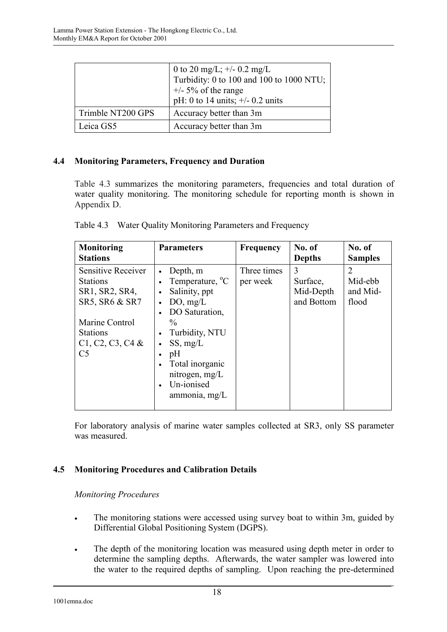|                   | 0 to 20 mg/L; $+/- 0.2$ mg/L<br>Turbidity: 0 to 100 and 100 to 1000 NTU;<br>$+/-$ 5% of the range<br>pH: 0 to 14 units; $\pm/2$ 0.2 units |
|-------------------|-------------------------------------------------------------------------------------------------------------------------------------------|
| Trimble NT200 GPS | Accuracy better than 3m                                                                                                                   |
| Leica GS5         | Accuracy better than 3m                                                                                                                   |

### **4.4 Monitoring Parameters, Frequency and Duration**

Table 4.3 summarizes the monitoring parameters, frequencies and total duration of water quality monitoring. The monitoring schedule for reporting month is shown in Appendix D.

| Monitoring<br><b>Stations</b>                                             | <b>Parameters</b>                                                                                                                                                     | <b>Frequency</b>        | No. of<br><b>Depths</b>                  | No. of<br><b>Samples</b>                       |
|---------------------------------------------------------------------------|-----------------------------------------------------------------------------------------------------------------------------------------------------------------------|-------------------------|------------------------------------------|------------------------------------------------|
| Sensitive Receiver<br><b>Stations</b><br>SR1, SR2, SR4,<br>SR5, SR6 & SR7 | Depth, m<br>Temperature, <sup>o</sup> C<br>Salinity, ppt<br>$\bullet$<br>DO, mg/L<br>$\bullet$                                                                        | Three times<br>per week | 3<br>Surface,<br>Mid-Depth<br>and Bottom | $\overline{2}$<br>Mid-ebb<br>and Mid-<br>flood |
| Marine Control<br><b>Stations</b><br>C1, C2, C3, C4 &<br>C <sub>5</sub>   | DO Saturation,<br>$\frac{0}{0}$<br>Turbidity, NTU<br>$\bullet$<br>SS, mg/L<br>$\bullet$<br>pH<br>Total inorganic<br>nitrogen, $mg/L$<br>Un-ionised<br>ammonia, $mg/L$ |                         |                                          |                                                |

|  |  |  | Table 4.3 Water Quality Monitoring Parameters and Frequency |
|--|--|--|-------------------------------------------------------------|
|--|--|--|-------------------------------------------------------------|

For laboratory analysis of marine water samples collected at SR3, only SS parameter was measured.

### **4.5 Monitoring Procedures and Calibration Details**

### *Monitoring Procedures*

- The monitoring stations were accessed using survey boat to within 3m, guided by Differential Global Positioning System (DGPS).
- The depth of the monitoring location was measured using depth meter in order to determine the sampling depths. Afterwards, the water sampler was lowered into the water to the required depths of sampling. Upon reaching the pre-determined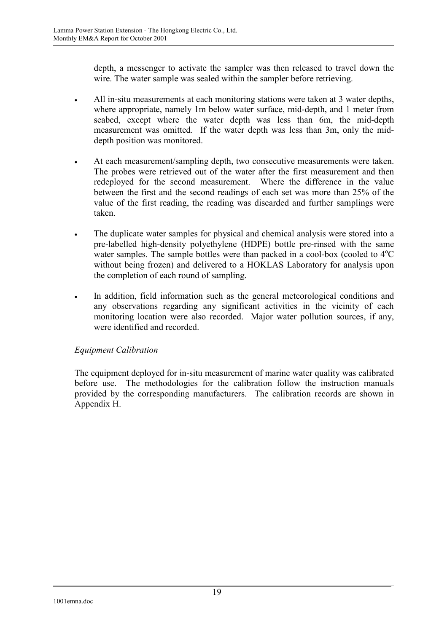depth, a messenger to activate the sampler was then released to travel down the wire. The water sample was sealed within the sampler before retrieving.

- All in-situ measurements at each monitoring stations were taken at 3 water depths, where appropriate, namely 1m below water surface, mid-depth, and 1 meter from seabed, except where the water depth was less than 6m, the mid-depth measurement was omitted. If the water depth was less than 3m, only the middepth position was monitored.
- At each measurement/sampling depth, two consecutive measurements were taken. The probes were retrieved out of the water after the first measurement and then redeployed for the second measurement. Where the difference in the value between the first and the second readings of each set was more than 25% of the value of the first reading, the reading was discarded and further samplings were taken.
- The duplicate water samples for physical and chemical analysis were stored into a pre-labelled high-density polyethylene (HDPE) bottle pre-rinsed with the same water samples. The sample bottles were than packed in a cool-box (cooled to  $4^{\circ}C$ without being frozen) and delivered to a HOKLAS Laboratory for analysis upon the completion of each round of sampling.
- In addition, field information such as the general meteorological conditions and any observations regarding any significant activities in the vicinity of each monitoring location were also recorded. Major water pollution sources, if any, were identified and recorded.

### *Equipment Calibration*

The equipment deployed for in-situ measurement of marine water quality was calibrated before use. The methodologies for the calibration follow the instruction manuals provided by the corresponding manufacturers. The calibration records are shown in Appendix H.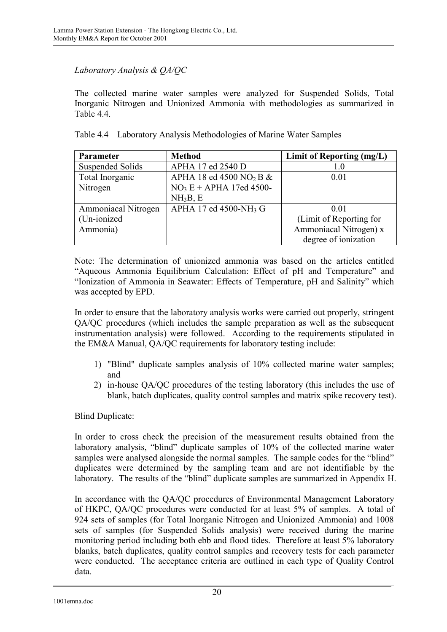### *Laboratory Analysis & QA/QC*

The collected marine water samples were analyzed for Suspended Solids, Total Inorganic Nitrogen and Unionized Ammonia with methodologies as summarized in Table 44

|  |  |  |  |  | Table 4.4 Laboratory Analysis Methodologies of Marine Water Samples |
|--|--|--|--|--|---------------------------------------------------------------------|
|--|--|--|--|--|---------------------------------------------------------------------|

| Parameter                  | <b>Method</b>                          | Limit of Reporting (mg/L) |
|----------------------------|----------------------------------------|---------------------------|
| <b>Suspended Solids</b>    | APHA 17 ed 2540 D                      | 1.0                       |
| Total Inorganic            | APHA 18 ed 4500 NO <sub>2</sub> B $\&$ | 0.01                      |
| Nitrogen                   | $NO3E + APHA$ 17ed 4500-               |                           |
|                            | NH <sub>3</sub> B, E                   |                           |
| <b>Ammoniacal Nitrogen</b> | APHA 17 ed 4500-NH <sub>3</sub> G      | 0.01                      |
| (Un-ionized)               |                                        | (Limit of Reporting for   |
| Ammonia)                   |                                        | Ammoniacal Nitrogen) x    |
|                            |                                        | degree of ionization      |

Note: The determination of unionized ammonia was based on the articles entitled "Aqueous Ammonia Equilibrium Calculation: Effect of pH and Temperature" and "Ionization of Ammonia in Seawater: Effects of Temperature, pH and Salinity" which was accepted by EPD.

In order to ensure that the laboratory analysis works were carried out properly, stringent QA/QC procedures (which includes the sample preparation as well as the subsequent instrumentation analysis) were followed. According to the requirements stipulated in the EM&A Manual, QA/QC requirements for laboratory testing include:

- 1) "Blind" duplicate samples analysis of 10% collected marine water samples; and
- 2) in-house QA/QC procedures of the testing laboratory (this includes the use of blank, batch duplicates, quality control samples and matrix spike recovery test).

Blind Duplicate:

In order to cross check the precision of the measurement results obtained from the laboratory analysis, "blind" duplicate samples of 10% of the collected marine water samples were analysed alongside the normal samples. The sample codes for the "blind" duplicates were determined by the sampling team and are not identifiable by the laboratory. The results of the "blind" duplicate samples are summarized in Appendix H.

In accordance with the QA/QC procedures of Environmental Management Laboratory of HKPC, QA/QC procedures were conducted for at least 5% of samples. A total of 924 sets of samples (for Total Inorganic Nitrogen and Unionized Ammonia) and 1008 sets of samples (for Suspended Solids analysis) were received during the marine monitoring period including both ebb and flood tides. Therefore at least 5% laboratory blanks, batch duplicates, quality control samples and recovery tests for each parameter were conducted. The acceptance criteria are outlined in each type of Quality Control data.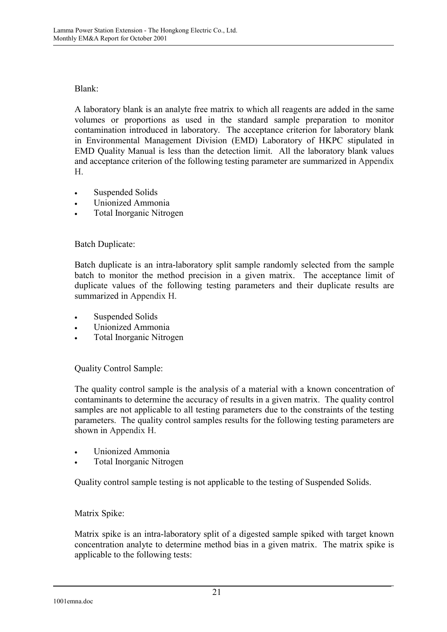### Blank:

A laboratory blank is an analyte free matrix to which all reagents are added in the same volumes or proportions as used in the standard sample preparation to monitor contamination introduced in laboratory. The acceptance criterion for laboratory blank in Environmental Management Division (EMD) Laboratory of HKPC stipulated in EMD Quality Manual is less than the detection limit. All the laboratory blank values and acceptance criterion of the following testing parameter are summarized in Appendix H.

- Suspended Solids
- Unionized Ammonia
- Total Inorganic Nitrogen

### Batch Duplicate:

Batch duplicate is an intra-laboratory split sample randomly selected from the sample batch to monitor the method precision in a given matrix. The acceptance limit of duplicate values of the following testing parameters and their duplicate results are summarized in Appendix H.

- Suspended Solids
- Unionized Ammonia
- Total Inorganic Nitrogen

Quality Control Sample:

The quality control sample is the analysis of a material with a known concentration of contaminants to determine the accuracy of results in a given matrix. The quality control samples are not applicable to all testing parameters due to the constraints of the testing parameters. The quality control samples results for the following testing parameters are shown in Appendix H.

- Unionized Ammonia
- Total Inorganic Nitrogen

Quality control sample testing is not applicable to the testing of Suspended Solids.

### Matrix Spike:

Matrix spike is an intra-laboratory split of a digested sample spiked with target known concentration analyte to determine method bias in a given matrix. The matrix spike is applicable to the following tests: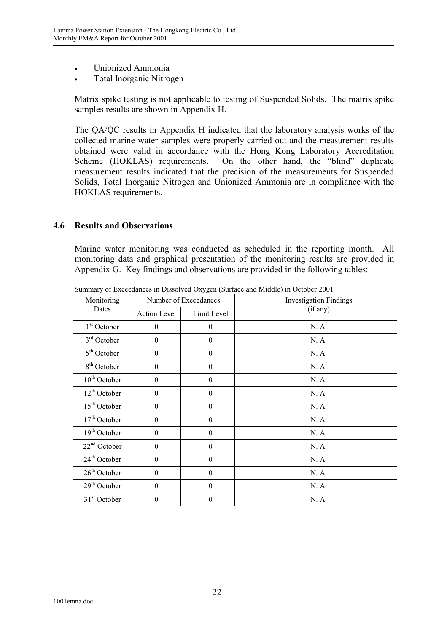- Unionized Ammonia
- Total Inorganic Nitrogen

Matrix spike testing is not applicable to testing of Suspended Solids. The matrix spike samples results are shown in Appendix H.

The QA/QC results in Appendix H indicated that the laboratory analysis works of the collected marine water samples were properly carried out and the measurement results obtained were valid in accordance with the Hong Kong Laboratory Accreditation Scheme (HOKLAS) requirements. On the other hand, the "blind" duplicate measurement results indicated that the precision of the measurements for Suspended Solids, Total Inorganic Nitrogen and Unionized Ammonia are in compliance with the HOKLAS requirements.

#### **4.6 Results and Observations**

Marine water monitoring was conducted as scheduled in the reporting month. All monitoring data and graphical presentation of the monitoring results are provided in Appendix G. Key findings and observations are provided in the following tables:

| Monitoring               | Number of Exceedances |                  | <b>Investigation Findings</b> |
|--------------------------|-----------------------|------------------|-------------------------------|
| Dates                    | Action Level          | Limit Level      | (if any)                      |
| $1st$ October            | $\mathbf{0}$          | $\theta$         | N. A.                         |
| $3rd$ October            | $\mathbf{0}$          | $\theta$         | N. A.                         |
| $5th$ October            | $\theta$              | $\theta$         | N. A.                         |
| 8 <sup>th</sup> October  | $\theta$              | $\theta$         | N. A.                         |
| $10th$ October           | $\theta$              | $\boldsymbol{0}$ | N. A.                         |
| $12th$ October           | $\theta$              | $\boldsymbol{0}$ | N. A.                         |
| $15th$ October           | $\theta$              | $\theta$         | N. A.                         |
| $17th$ October           | $\theta$              | $\boldsymbol{0}$ | N. A.                         |
| $19th$ October           | $\boldsymbol{0}$      | $\boldsymbol{0}$ | N. A.                         |
| $22nd$ October           | $\theta$              | $\boldsymbol{0}$ | N. A.                         |
| 24 <sup>th</sup> October | $\theta$              | $\theta$         | N. A.                         |
| $26th$ October           | $\mathbf{0}$          | $\boldsymbol{0}$ | N. A.                         |
| $29th$ October           | $\theta$              | $\theta$         | N. A.                         |
| 31 <sup>st</sup> October | $\theta$              | 0                | N. A.                         |

Summary of Exceedances in Dissolved Oxygen (Surface and Middle) in October 2001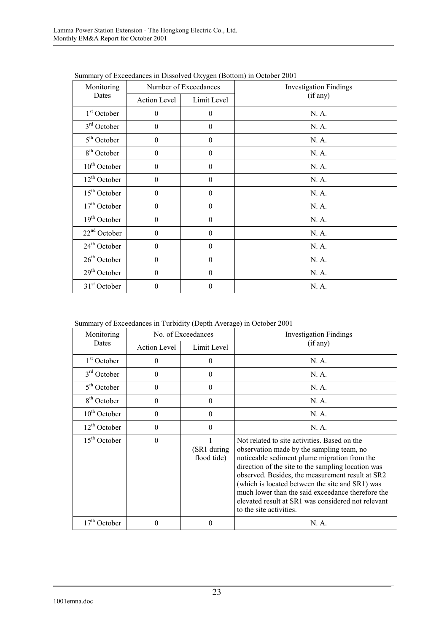| Summary of Exceedances in Dissolved Oxygen (Bottoni) in October 2001 |                  |                               |  |  |
|----------------------------------------------------------------------|------------------|-------------------------------|--|--|
| Monitoring<br>Dates                                                  |                  | <b>Investigation Findings</b> |  |  |
| Action Level                                                         | Limit Level      | (if any)                      |  |  |
| $\theta$                                                             | $\boldsymbol{0}$ | N. A.                         |  |  |
| $\theta$                                                             | $\boldsymbol{0}$ | N. A.                         |  |  |
| $\boldsymbol{0}$                                                     | $\boldsymbol{0}$ | N. A.                         |  |  |
| $\boldsymbol{0}$                                                     | $\boldsymbol{0}$ | N. A.                         |  |  |
| $\theta$                                                             | $\boldsymbol{0}$ | N. A.                         |  |  |
| $\theta$                                                             | $\boldsymbol{0}$ | N. A.                         |  |  |
| $\theta$                                                             | $\boldsymbol{0}$ | N. A.                         |  |  |
| $\Omega$                                                             | $\boldsymbol{0}$ | N. A.                         |  |  |
| $\boldsymbol{0}$                                                     | $\boldsymbol{0}$ | N. A.                         |  |  |
| $\theta$                                                             | $\boldsymbol{0}$ | N. A.                         |  |  |
| $\theta$                                                             | $\boldsymbol{0}$ | N. A.                         |  |  |
| $\theta$                                                             | $\boldsymbol{0}$ | N. A.                         |  |  |
| $\theta$                                                             | $\boldsymbol{0}$ | N. A.                         |  |  |
| $\theta$                                                             | $\theta$         | N. A.                         |  |  |
|                                                                      |                  | Number of Exceedances         |  |  |

Summary of Exceedances in Dissolved Oxygen (Bottom) in October 2001

| Monitoring              | No. of Exceedances  |                                 | <b>Investigation Findings</b>                                                                                                                                                                                                                                                                                                                                                                                                                |  |
|-------------------------|---------------------|---------------------------------|----------------------------------------------------------------------------------------------------------------------------------------------------------------------------------------------------------------------------------------------------------------------------------------------------------------------------------------------------------------------------------------------------------------------------------------------|--|
| Dates                   | <b>Action Level</b> | Limit Level                     | (if any)                                                                                                                                                                                                                                                                                                                                                                                                                                     |  |
| $1st$ October           | 0                   | $\theta$                        | N. A.                                                                                                                                                                                                                                                                                                                                                                                                                                        |  |
| $3rd$ October           | $\theta$            | $\theta$                        | N. A.                                                                                                                                                                                                                                                                                                                                                                                                                                        |  |
| $5th$ October           | $\Omega$            | $\theta$                        | N. A.                                                                                                                                                                                                                                                                                                                                                                                                                                        |  |
| 8 <sup>th</sup> October | $\theta$            | $\theta$                        | N. A.                                                                                                                                                                                                                                                                                                                                                                                                                                        |  |
| $10th$ October          | $\theta$            | $\theta$                        | N. A.                                                                                                                                                                                                                                                                                                                                                                                                                                        |  |
| $12th$ October          | $\theta$            | $\theta$                        | N. A.                                                                                                                                                                                                                                                                                                                                                                                                                                        |  |
| $15th$ October          | $\theta$            | 1<br>(SR1 during<br>flood tide) | Not related to site activities. Based on the<br>observation made by the sampling team, no<br>noticeable sediment plume migration from the<br>direction of the site to the sampling location was<br>observed. Besides, the measurement result at SR2<br>(which is located between the site and SR1) was<br>much lower than the said exceedance therefore the<br>elevated result at SR1 was considered not relevant<br>to the site activities. |  |
| $17th$ October          | 0                   | $\theta$                        | N. A.                                                                                                                                                                                                                                                                                                                                                                                                                                        |  |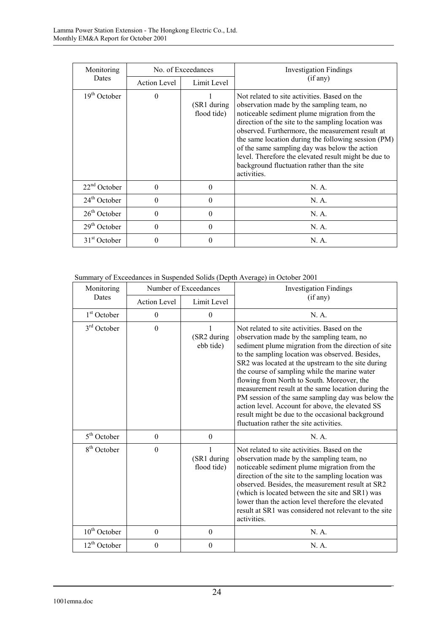| Monitoring               | No. of Exceedances                 |                            | <b>Investigation Findings</b>                                                                                                                                                                                                                                                                                                                                                                                                                                                     |
|--------------------------|------------------------------------|----------------------------|-----------------------------------------------------------------------------------------------------------------------------------------------------------------------------------------------------------------------------------------------------------------------------------------------------------------------------------------------------------------------------------------------------------------------------------------------------------------------------------|
| Dates                    | Limit Level<br><b>Action Level</b> |                            | (if any)                                                                                                                                                                                                                                                                                                                                                                                                                                                                          |
| 19 <sup>th</sup> October | $\theta$                           | (SR1 during<br>flood tide) | Not related to site activities. Based on the<br>observation made by the sampling team, no<br>noticeable sediment plume migration from the<br>direction of the site to the sampling location was<br>observed. Furthermore, the measurement result at<br>the same location during the following session (PM)<br>of the same sampling day was below the action<br>level. Therefore the elevated result might be due to<br>background fluctuation rather than the site<br>activities. |
| $22nd$ October           | $\theta$                           | 0                          | N.A.                                                                                                                                                                                                                                                                                                                                                                                                                                                                              |
| $24th$ October           | $\theta$                           | $\theta$                   | N.A.                                                                                                                                                                                                                                                                                                                                                                                                                                                                              |
| $26th$ October           | $\Omega$                           | 0                          | N. A.                                                                                                                                                                                                                                                                                                                                                                                                                                                                             |
| $29th$ October           | $\theta$                           | 0                          | N.A.                                                                                                                                                                                                                                                                                                                                                                                                                                                                              |
| $31st$ October           | $\theta$                           | 0                          | N. A.                                                                                                                                                                                                                                                                                                                                                                                                                                                                             |

Summary of Exceedances in Suspended Solids (Depth Average) in October 2001

| Monitoring              | Number of Exceedances |                                 | <b>Investigation Findings</b>                                                                                                                                                                                                                                                                                                                                                                                                                                                                                                                                                                                          |  |
|-------------------------|-----------------------|---------------------------------|------------------------------------------------------------------------------------------------------------------------------------------------------------------------------------------------------------------------------------------------------------------------------------------------------------------------------------------------------------------------------------------------------------------------------------------------------------------------------------------------------------------------------------------------------------------------------------------------------------------------|--|
| Dates                   | <b>Action Level</b>   | Limit Level                     | (if any)                                                                                                                                                                                                                                                                                                                                                                                                                                                                                                                                                                                                               |  |
| 1 <sup>st</sup> October | $\boldsymbol{0}$      | $\theta$                        | N. A.                                                                                                                                                                                                                                                                                                                                                                                                                                                                                                                                                                                                                  |  |
| $3rd$ October           | $\boldsymbol{0}$      | 1<br>(SR2 during<br>ebb tide)   | Not related to site activities. Based on the<br>observation made by the sampling team, no<br>sediment plume migration from the direction of site<br>to the sampling location was observed. Besides,<br>SR2 was located at the upstream to the site during<br>the course of sampling while the marine water<br>flowing from North to South. Moreover, the<br>measurement result at the same location during the<br>PM session of the same sampling day was below the<br>action level. Account for above, the elevated SS<br>result might be due to the occasional background<br>fluctuation rather the site activities. |  |
| $5th$ October           | $\boldsymbol{0}$      | $\theta$                        | N. A.                                                                                                                                                                                                                                                                                                                                                                                                                                                                                                                                                                                                                  |  |
| 8 <sup>th</sup> October | $\mathbf{0}$          | 1<br>(SR1 during<br>flood tide) | Not related to site activities. Based on the<br>observation made by the sampling team, no<br>noticeable sediment plume migration from the<br>direction of the site to the sampling location was<br>observed. Besides, the measurement result at SR2<br>(which is located between the site and SR1) was<br>lower than the action level therefore the elevated<br>result at SR1 was considered not relevant to the site<br>activities.                                                                                                                                                                                   |  |
| $10th$ October          | $\boldsymbol{0}$      | $\mathbf{0}$                    | N. A.                                                                                                                                                                                                                                                                                                                                                                                                                                                                                                                                                                                                                  |  |
| $12th$ October          | $\overline{0}$        | $\mathbf{0}$                    | N. A.                                                                                                                                                                                                                                                                                                                                                                                                                                                                                                                                                                                                                  |  |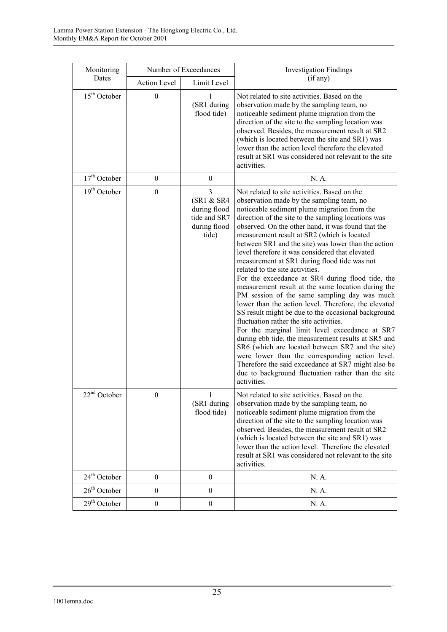| Monitoring     | Number of Exceedances |                                                                          | <b>Investigation Findings</b>                                                                                                                                                                                                                                                                                                                                                                                                                                                                                                                                                                                                                                                                                                                                                                                                                                                                                                                                                                                                                                                                                                                                     |  |
|----------------|-----------------------|--------------------------------------------------------------------------|-------------------------------------------------------------------------------------------------------------------------------------------------------------------------------------------------------------------------------------------------------------------------------------------------------------------------------------------------------------------------------------------------------------------------------------------------------------------------------------------------------------------------------------------------------------------------------------------------------------------------------------------------------------------------------------------------------------------------------------------------------------------------------------------------------------------------------------------------------------------------------------------------------------------------------------------------------------------------------------------------------------------------------------------------------------------------------------------------------------------------------------------------------------------|--|
| Dates          | Action Level          | Limit Level                                                              | (if any)                                                                                                                                                                                                                                                                                                                                                                                                                                                                                                                                                                                                                                                                                                                                                                                                                                                                                                                                                                                                                                                                                                                                                          |  |
| $15th$ October | $\boldsymbol{0}$      | 1<br>(SR1 during<br>flood tide)                                          | Not related to site activities. Based on the<br>observation made by the sampling team, no<br>noticeable sediment plume migration from the<br>direction of the site to the sampling location was<br>observed. Besides, the measurement result at SR2<br>(which is located between the site and SR1) was<br>lower than the action level therefore the elevated<br>result at SR1 was considered not relevant to the site<br>activities.                                                                                                                                                                                                                                                                                                                                                                                                                                                                                                                                                                                                                                                                                                                              |  |
| $17th$ October | $\boldsymbol{0}$      | $\boldsymbol{0}$                                                         | N. A.                                                                                                                                                                                                                                                                                                                                                                                                                                                                                                                                                                                                                                                                                                                                                                                                                                                                                                                                                                                                                                                                                                                                                             |  |
| $19th$ October | $\mathbf{0}$          | 3<br>(SR1 & SR4<br>during flood<br>tide and SR7<br>during flood<br>tide) | Not related to site activities. Based on the<br>observation made by the sampling team, no<br>noticeable sediment plume migration from the<br>direction of the site to the sampling locations was<br>observed. On the other hand, it was found that the<br>measurement result at SR2 (which is located<br>between SR1 and the site) was lower than the action<br>level therefore it was considered that elevated<br>measurement at SR1 during flood tide was not<br>related to the site activities.<br>For the exceedance at SR4 during flood tide, the<br>measurement result at the same location during the<br>PM session of the same sampling day was much<br>lower than the action level. Therefore, the elevated<br>SS result might be due to the occasional background<br>fluctuation rather the site activities.<br>For the marginal limit level exceedance at SR7<br>during ebb tide, the measurement results at SR5 and<br>SR6 (which are located between SR7 and the site)<br>were lower than the corresponding action level.<br>Therefore the said exceedance at SR7 might also be<br>due to background fluctuation rather than the site<br>activities. |  |
| $22nd$ October | $\boldsymbol{0}$      | 1<br>(SR1 during<br>flood tide)                                          | Not related to site activities. Based on the<br>observation made by the sampling team, no<br>noticeable sediment plume migration from the<br>direction of the site to the sampling location was<br>observed. Besides, the measurement result at SR2<br>(which is located between the site and SR1) was<br>lower than the action level. Therefore the elevated<br>result at SR1 was considered not relevant to the site<br>activities.                                                                                                                                                                                                                                                                                                                                                                                                                                                                                                                                                                                                                                                                                                                             |  |
| $24th$ October | $\boldsymbol{0}$      | $\boldsymbol{0}$                                                         | N. A.                                                                                                                                                                                                                                                                                                                                                                                                                                                                                                                                                                                                                                                                                                                                                                                                                                                                                                                                                                                                                                                                                                                                                             |  |
| $26th$ October | $\boldsymbol{0}$      | $\boldsymbol{0}$                                                         | N. A.                                                                                                                                                                                                                                                                                                                                                                                                                                                                                                                                                                                                                                                                                                                                                                                                                                                                                                                                                                                                                                                                                                                                                             |  |
| $29th$ October | $\boldsymbol{0}$      | $\boldsymbol{0}$                                                         | N. A.                                                                                                                                                                                                                                                                                                                                                                                                                                                                                                                                                                                                                                                                                                                                                                                                                                                                                                                                                                                                                                                                                                                                                             |  |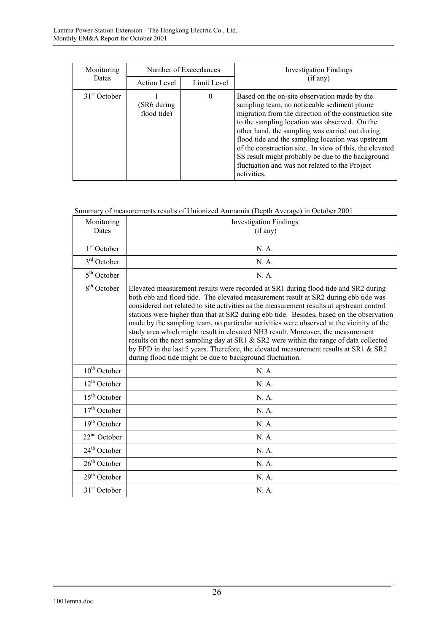| Monitoring               | Number of Exceedances<br>(if any)<br><b>Dates</b><br>Limit Level<br>Action Level |          | <b>Investigation Findings</b>                                                                                                                                                                                                                                                                                                                                                                                                                                                                  |
|--------------------------|----------------------------------------------------------------------------------|----------|------------------------------------------------------------------------------------------------------------------------------------------------------------------------------------------------------------------------------------------------------------------------------------------------------------------------------------------------------------------------------------------------------------------------------------------------------------------------------------------------|
|                          |                                                                                  |          |                                                                                                                                                                                                                                                                                                                                                                                                                                                                                                |
| 31 <sup>st</sup> October | (SR6 during<br>flood tide)                                                       | $\theta$ | Based on the on-site observation made by the<br>sampling team, no noticeable sediment plume<br>migration from the direction of the construction site<br>to the sampling location was observed. On the<br>other hand, the sampling was carried out during<br>flood tide and the sampling location was upstream<br>of the construction site. In view of this, the elevated<br>SS result might probably be due to the background<br>fluctuation and was not related to the Project<br>activities. |

### Summary of measurements results of Unionized Ammonia (Depth Average) in October 2001

| Monitoring<br>Dates     | <b>Investigation Findings</b><br>(if any)                                                                                                                                                                                                                                                                                                                                                                                                                                                                                                                                                                                                                                                                                                                                                      |
|-------------------------|------------------------------------------------------------------------------------------------------------------------------------------------------------------------------------------------------------------------------------------------------------------------------------------------------------------------------------------------------------------------------------------------------------------------------------------------------------------------------------------------------------------------------------------------------------------------------------------------------------------------------------------------------------------------------------------------------------------------------------------------------------------------------------------------|
| $1st$ October           | N. A.                                                                                                                                                                                                                                                                                                                                                                                                                                                                                                                                                                                                                                                                                                                                                                                          |
| $3rd$ October           | N. A.                                                                                                                                                                                                                                                                                                                                                                                                                                                                                                                                                                                                                                                                                                                                                                                          |
| $5th$ October           | N. A.                                                                                                                                                                                                                                                                                                                                                                                                                                                                                                                                                                                                                                                                                                                                                                                          |
| 8 <sup>th</sup> October | Elevated measurement results were recorded at SR1 during flood tide and SR2 during<br>both ebb and flood tide. The elevated measurement result at SR2 during ebb tide was<br>considered not related to site activities as the measurement results at upstream control<br>stations were higher than that at SR2 during ebb tide. Besides, based on the observation<br>made by the sampling team, no particular activities were observed at the vicinity of the<br>study area which might result in elevated NH3 result. Moreover, the measurement<br>results on the next sampling day at SR1 & SR2 were within the range of data collected<br>by EPD in the last 5 years. Therefore, the elevated measurement results at SR1 & SR2<br>during flood tide might be due to background fluctuation. |
| $10th$ October          | N.A.                                                                                                                                                                                                                                                                                                                                                                                                                                                                                                                                                                                                                                                                                                                                                                                           |
| $12^{th}$ October       | N. A.                                                                                                                                                                                                                                                                                                                                                                                                                                                                                                                                                                                                                                                                                                                                                                                          |
| $15th$ October          | N A                                                                                                                                                                                                                                                                                                                                                                                                                                                                                                                                                                                                                                                                                                                                                                                            |
| $17th$ October          | N. A.                                                                                                                                                                                                                                                                                                                                                                                                                                                                                                                                                                                                                                                                                                                                                                                          |
| $19th$ October          | N. A.                                                                                                                                                                                                                                                                                                                                                                                                                                                                                                                                                                                                                                                                                                                                                                                          |
| $22nd$ October          | N. A.                                                                                                                                                                                                                                                                                                                                                                                                                                                                                                                                                                                                                                                                                                                                                                                          |
| $24th$ October          | N. A.                                                                                                                                                                                                                                                                                                                                                                                                                                                                                                                                                                                                                                                                                                                                                                                          |
| $26th$ October          | N. A.                                                                                                                                                                                                                                                                                                                                                                                                                                                                                                                                                                                                                                                                                                                                                                                          |
| $29th$ October          | N. A.                                                                                                                                                                                                                                                                                                                                                                                                                                                                                                                                                                                                                                                                                                                                                                                          |
| $31st$ October          | N. A.                                                                                                                                                                                                                                                                                                                                                                                                                                                                                                                                                                                                                                                                                                                                                                                          |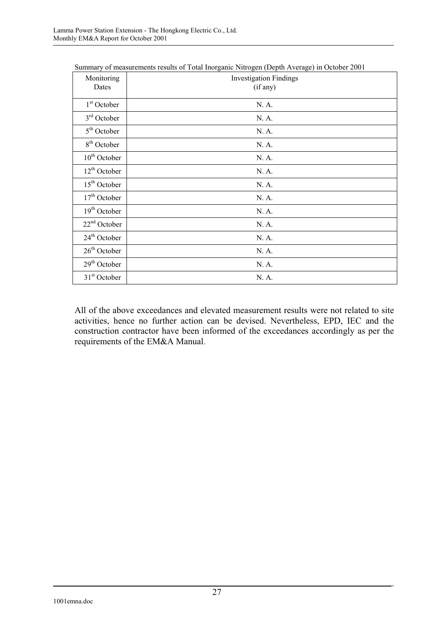| Monitoring<br>Dates      | $\beta$ uniniai y or measurements results or Total morganic Putrogen (Depth Trouge) in October 2001<br><b>Investigation Findings</b><br>(if any) |
|--------------------------|--------------------------------------------------------------------------------------------------------------------------------------------------|
| $1st$ October            | N. A.                                                                                                                                            |
| $3rd$ October            | N. A.                                                                                                                                            |
| $5th$ October            | N. A.                                                                                                                                            |
| 8 <sup>th</sup> October  | N. A.                                                                                                                                            |
| $10th$ October           | N. A.                                                                                                                                            |
| $12th$ October           | N. A.                                                                                                                                            |
| $15th$ October           | N. A.                                                                                                                                            |
| $17th$ October           | N. A.                                                                                                                                            |
| $19th$ October           | N. A.                                                                                                                                            |
| $22nd$ October           | N. A.                                                                                                                                            |
| 24 <sup>th</sup> October | N. A.                                                                                                                                            |
| $26th$ October           | N. A.                                                                                                                                            |
| $29th$ October           | N. A.                                                                                                                                            |
| $31st$ October           | N. A.                                                                                                                                            |

Summary of measurements results of Total Inorganic Nitrogen (Depth Average) in October 2001

All of the above exceedances and elevated measurement results were not related to site activities, hence no further action can be devised. Nevertheless, EPD, IEC and the construction contractor have been informed of the exceedances accordingly as per the requirements of the EM&A Manual.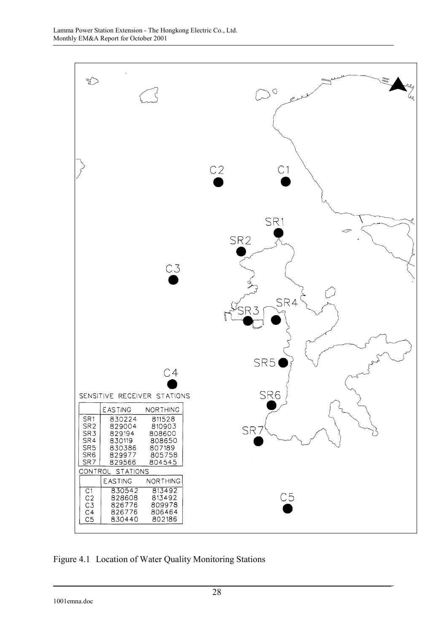

Figure 4.1 Location of Water Quality Monitoring Stations

1001emna.doc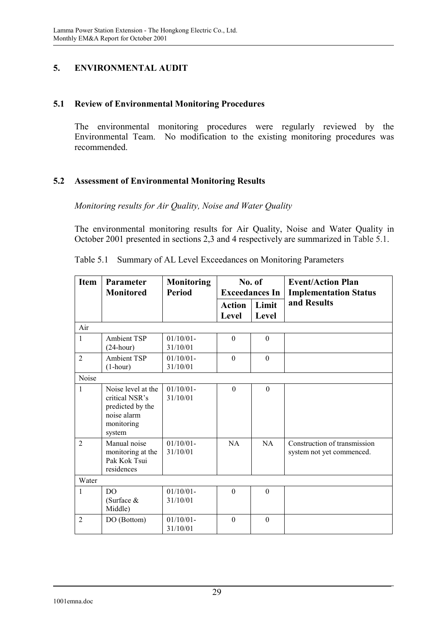### **5. ENVIRONMENTAL AUDIT**

#### **5.1 Review of Environmental Monitoring Procedures**

The environmental monitoring procedures were regularly reviewed by the Environmental Team. No modification to the existing monitoring procedures was recommended.

### **5.2 Assessment of Environmental Monitoring Results**

### *Monitoring results for Air Quality, Noise and Water Quality*

The environmental monitoring results for Air Quality, Noise and Water Quality in October 2001 presented in sections 2,3 and 4 respectively are summarized in Table 5.1.

| <b>Item</b>    | <b>Parameter</b>                                                                                | <b>Monitoring</b>        |                        | No. of                | <b>Event/Action Plan</b>                                  |  |
|----------------|-------------------------------------------------------------------------------------------------|--------------------------|------------------------|-----------------------|-----------------------------------------------------------|--|
|                | <b>Monitored</b>                                                                                | <b>Period</b>            |                        | <b>Exceedances In</b> | <b>Implementation Status</b>                              |  |
|                |                                                                                                 |                          | <b>Action</b><br>Level | Limit<br>Level        | and Results                                               |  |
| Air            |                                                                                                 |                          |                        |                       |                                                           |  |
| $\mathbf{1}$   | <b>Ambient TSP</b><br>$(24$ -hour)                                                              | 01/10/01<br>31/10/01     | $\theta$               | $\Omega$              |                                                           |  |
| $\overline{2}$ | <b>Ambient TSP</b><br>$(1-hour)$                                                                | $01/10/01 -$<br>31/10/01 | $\Omega$               | $\mathbf{0}$          |                                                           |  |
| Noise          |                                                                                                 |                          |                        |                       |                                                           |  |
| $\mathbf{1}$   | Noise level at the<br>critical NSR's<br>predicted by the<br>noise alarm<br>monitoring<br>system | 01/10/01<br>31/10/01     | $\theta$               | $\theta$              |                                                           |  |
| $\overline{2}$ | Manual noise<br>monitoring at the<br>Pak Kok Tsui<br>residences                                 | 01/10/01<br>31/10/01     | NA                     | <b>NA</b>             | Construction of transmission<br>system not yet commenced. |  |
| Water          |                                                                                                 |                          |                        |                       |                                                           |  |
| $\mathbf{1}$   | DO.<br>(Surface &<br>Middle)                                                                    | $01/10/01 -$<br>31/10/01 | $\Omega$               | $\Omega$              |                                                           |  |
| $\overline{2}$ | DO (Bottom)                                                                                     | $01/10/01 -$<br>31/10/01 | $\Omega$               | $\Omega$              |                                                           |  |

Table 5.1 Summary of AL Level Exceedances on Monitoring Parameters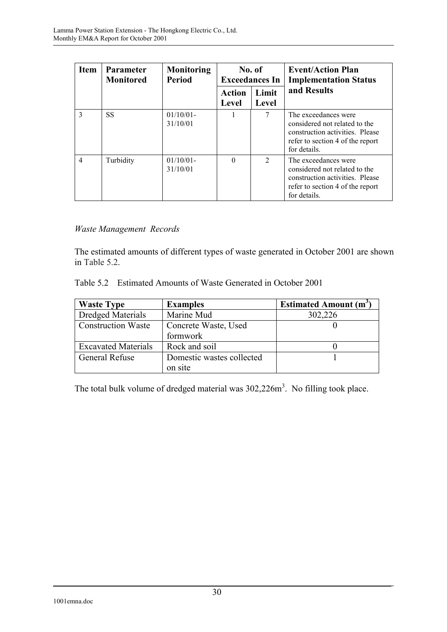| <b>Item</b>    | <b>Parameter</b><br><b>Monitored</b> | <b>Monitoring</b><br><b>Period</b> | No. of<br><b>Exceedances In</b> |                             | <b>Event/Action Plan</b><br><b>Implementation Status</b>                                                                                     |  |
|----------------|--------------------------------------|------------------------------------|---------------------------------|-----------------------------|----------------------------------------------------------------------------------------------------------------------------------------------|--|
|                |                                      |                                    | <b>Action</b><br>Level          | Limit<br>Level              | and Results                                                                                                                                  |  |
| $\mathbf{3}$   | <b>SS</b>                            | $01/10/01$ -<br>31/10/01           |                                 | 7                           | The exceedances were<br>considered not related to the<br>construction activities. Please<br>refer to section 4 of the report<br>for details. |  |
| $\overline{4}$ | Turbidity                            | $01/10/01$ -<br>31/10/01           | $\Omega$                        | $\mathcal{D}_{\mathcal{L}}$ | The exceedances were<br>considered not related to the<br>construction activities. Please<br>refer to section 4 of the report<br>for details. |  |

# *Waste Management Records*

The estimated amounts of different types of waste generated in October 2001 are shown in Table 5.2.

| <b>Waste Type</b>                                 | <b>Examples</b>           | <b>Estimated Amount (m<sup>3</sup></b> |
|---------------------------------------------------|---------------------------|----------------------------------------|
| <b>Dredged Materials</b>                          | Marine Mud                | 302,226                                |
| <b>Construction Waste</b><br>Concrete Waste, Used |                           |                                        |
|                                                   | formwork                  |                                        |
| <b>Excavated Materials</b>                        | Rock and soil             |                                        |
| <b>General Refuse</b>                             | Domestic wastes collected |                                        |
|                                                   | on site                   |                                        |

The total bulk volume of dredged material was  $302,226m^3$ . No filling took place.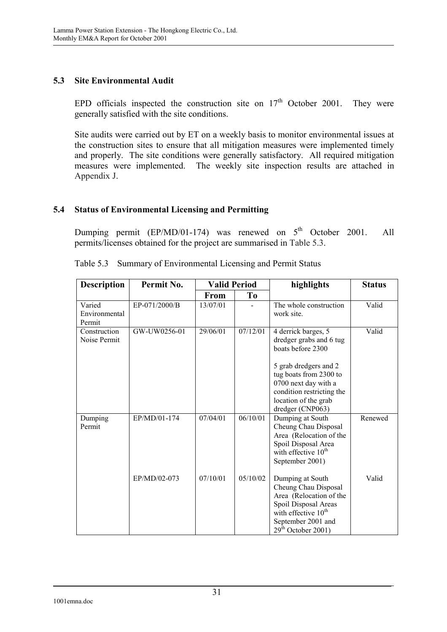### **5.3 Site Environmental Audit**

EPD officials inspected the construction site on  $17<sup>th</sup>$  October 2001. They were generally satisfied with the site conditions.

Site audits were carried out by ET on a weekly basis to monitor environmental issues at the construction sites to ensure that all mitigation measures were implemented timely and properly. The site conditions were generally satisfactory. All required mitigation measures were implemented. The weekly site inspection results are attached in Appendix J.

### **5.4 Status of Environmental Licensing and Permitting**

Dumping permit  $(EP/MD/01-174)$  was renewed on  $5<sup>th</sup>$  October 2001. All permits/licenses obtained for the project are summarised in Table 5.3.

| <b>Description</b>                | Permit No.    | <b>Valid Period</b> |                | highlights                                                                                                                                                                                                              | <b>Status</b> |
|-----------------------------------|---------------|---------------------|----------------|-------------------------------------------------------------------------------------------------------------------------------------------------------------------------------------------------------------------------|---------------|
|                                   |               | <b>From</b>         | T <sub>0</sub> |                                                                                                                                                                                                                         |               |
| Varied<br>Environmental<br>Permit | EP-071/2000/B | 13/07/01            |                | The whole construction<br>work site.                                                                                                                                                                                    | Valid         |
| Construction<br>Noise Permit      | GW-UW0256-01  | 29/06/01            | 07/12/01       | 4 derrick barges, 5<br>dredger grabs and 6 tug<br>boats before 2300<br>5 grab dredgers and 2<br>tug boats from 2300 to<br>0700 next day with a<br>condition restricting the<br>location of the grab<br>dredger (CNP063) | Valid         |
| Dumping<br>Permit                 | EP/MD/01-174  | 07/04/01            | 06/10/01       | Dumping at South<br>Cheung Chau Disposal<br>Area (Relocation of the<br>Spoil Disposal Area<br>with effective $10th$<br>September 2001)                                                                                  | Renewed       |
|                                   | EP/MD/02-073  | 07/10/01            | 05/10/02       | Dumping at South<br>Cheung Chau Disposal<br>Area (Relocation of the<br>Spoil Disposal Areas<br>with effective 10 <sup>th</sup><br>September 2001 and<br>$29th$ October 2001)                                            | Valid         |

| Table 5.3 Summary of Environmental Licensing and Permit Status |  |
|----------------------------------------------------------------|--|
|                                                                |  |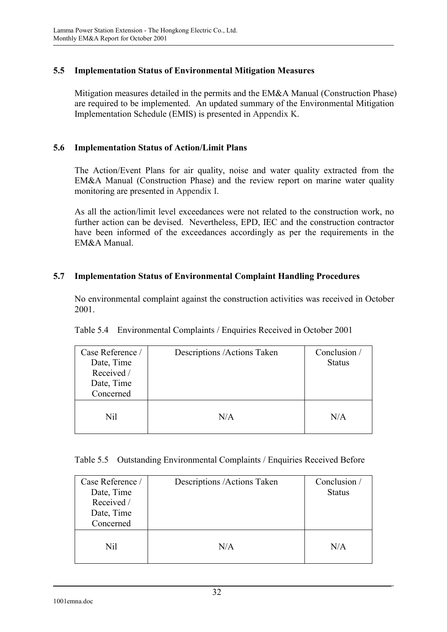### **5.5 Implementation Status of Environmental Mitigation Measures**

Mitigation measures detailed in the permits and the EM&A Manual (Construction Phase) are required to be implemented. An updated summary of the Environmental Mitigation Implementation Schedule (EMIS) is presented in Appendix K.

### **5.6 Implementation Status of Action/Limit Plans**

The Action/Event Plans for air quality, noise and water quality extracted from the EM&A Manual (Construction Phase) and the review report on marine water quality monitoring are presented in Appendix I.

As all the action/limit level exceedances were not related to the construction work, no further action can be devised. Nevertheless, EPD, IEC and the construction contractor have been informed of the exceedances accordingly as per the requirements in the EM&A Manual.

### **5.7 Implementation Status of Environmental Complaint Handling Procedures**

No environmental complaint against the construction activities was received in October 2001.

| Case Reference /<br>Date, Time<br>Received /<br>Date, Time<br>Concerned | Descriptions / Actions Taken | Conclusion /<br><b>Status</b> |
|-------------------------------------------------------------------------|------------------------------|-------------------------------|
| Nil                                                                     | N/A                          | N/A                           |

|  |  | Table 5.5 Outstanding Environmental Complaints / Enquiries Received Before |  |  |
|--|--|----------------------------------------------------------------------------|--|--|
|--|--|----------------------------------------------------------------------------|--|--|

| Case Reference /<br>Date, Time<br>Received /<br>Date, Time<br>Concerned | Descriptions / Actions Taken | Conclusion /<br><b>Status</b> |
|-------------------------------------------------------------------------|------------------------------|-------------------------------|
| Nil                                                                     | N/A                          | N/A                           |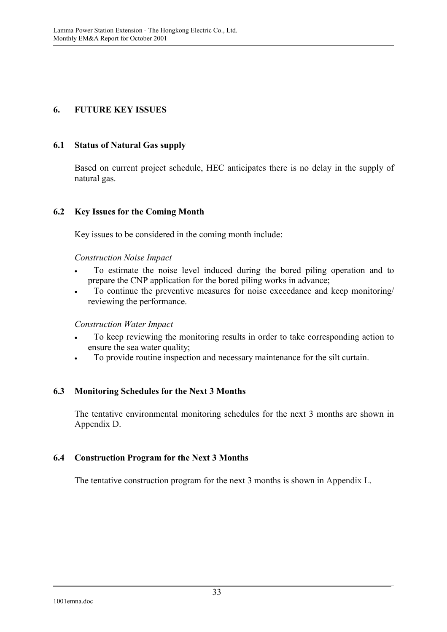# **6. FUTURE KEY ISSUES**

### **6.1 Status of Natural Gas supply**

Based on current project schedule, HEC anticipates there is no delay in the supply of natural gas.

### **6.2 Key Issues for the Coming Month**

Key issues to be considered in the coming month include:

### *Construction Noise Impact*

- To estimate the noise level induced during the bored piling operation and to prepare the CNP application for the bored piling works in advance;
- To continue the preventive measures for noise exceedance and keep monitoring/ reviewing the performance.

### *Construction Water Impact*

- To keep reviewing the monitoring results in order to take corresponding action to ensure the sea water quality;
- To provide routine inspection and necessary maintenance for the silt curtain.

### **6.3 Monitoring Schedules for the Next 3 Months**

The tentative environmental monitoring schedules for the next 3 months are shown in Appendix D.

### **6.4 Construction Program for the Next 3 Months**

The tentative construction program for the next 3 months is shown in Appendix L.